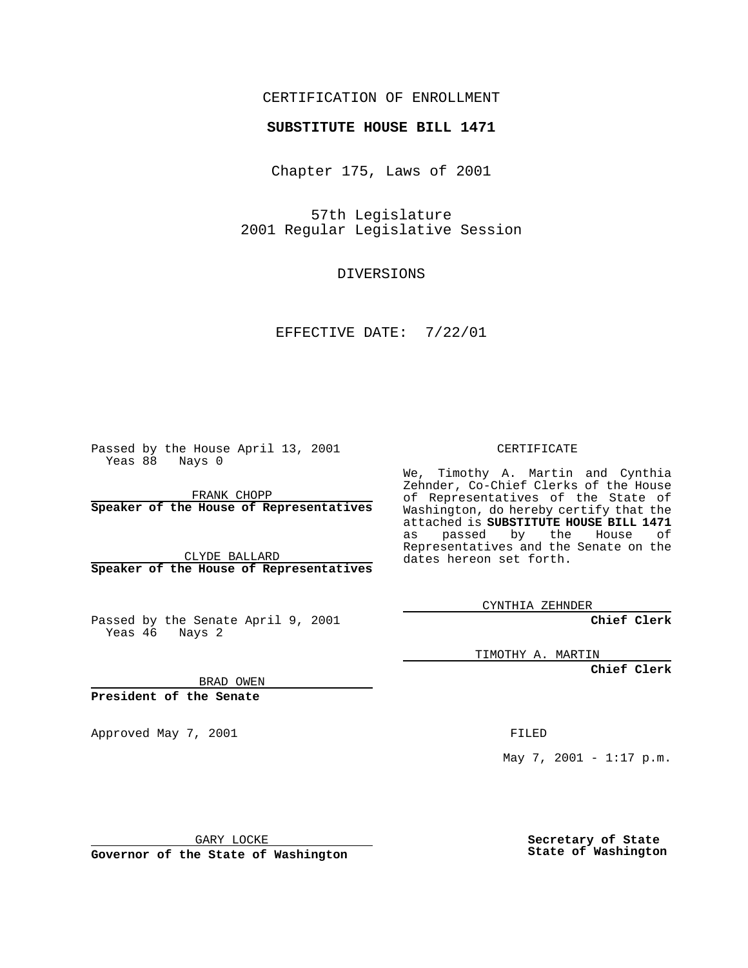## CERTIFICATION OF ENROLLMENT

## **SUBSTITUTE HOUSE BILL 1471**

Chapter 175, Laws of 2001

57th Legislature 2001 Regular Legislative Session

DIVERSIONS

EFFECTIVE DATE: 7/22/01

Passed by the House April 13, 2001 Yeas 88 Nays 0

FRANK CHOPP **Speaker of the House of Representatives**

CLYDE BALLARD **Speaker of the House of Representatives**

Passed by the Senate April 9, 2001 Yeas 46 Nays 2

CERTIFICATE

We, Timothy A. Martin and Cynthia Zehnder, Co-Chief Clerks of the House of Representatives of the State of Washington, do hereby certify that the attached is **SUBSTITUTE HOUSE BILL 1471** as passed by the House of Representatives and the Senate on the dates hereon set forth.

CYNTHIA ZEHNDER

**Chief Clerk**

TIMOTHY A. MARTIN

**Chief Clerk**

BRAD OWEN

**President of the Senate**

Approved May 7, 2001 FILED

May 7, 2001 - 1:17 p.m.

GARY LOCKE

**Governor of the State of Washington**

**Secretary of State State of Washington**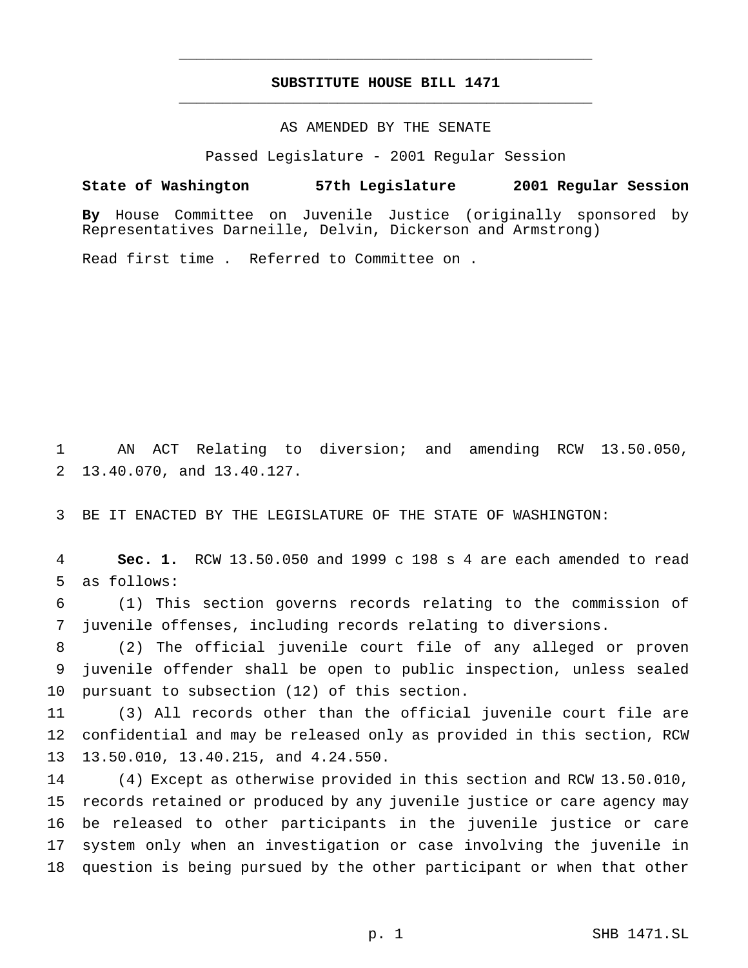## **SUBSTITUTE HOUSE BILL 1471** \_\_\_\_\_\_\_\_\_\_\_\_\_\_\_\_\_\_\_\_\_\_\_\_\_\_\_\_\_\_\_\_\_\_\_\_\_\_\_\_\_\_\_\_\_\_\_

\_\_\_\_\_\_\_\_\_\_\_\_\_\_\_\_\_\_\_\_\_\_\_\_\_\_\_\_\_\_\_\_\_\_\_\_\_\_\_\_\_\_\_\_\_\_\_

## AS AMENDED BY THE SENATE

Passed Legislature - 2001 Regular Session

**State of Washington 57th Legislature 2001 Regular Session**

**By** House Committee on Juvenile Justice (originally sponsored by Representatives Darneille, Delvin, Dickerson and Armstrong)

Read first time . Referred to Committee on .

 AN ACT Relating to diversion; and amending RCW 13.50.050, 13.40.070, and 13.40.127.

BE IT ENACTED BY THE LEGISLATURE OF THE STATE OF WASHINGTON:

 **Sec. 1.** RCW 13.50.050 and 1999 c 198 s 4 are each amended to read as follows:

 (1) This section governs records relating to the commission of juvenile offenses, including records relating to diversions.

 (2) The official juvenile court file of any alleged or proven juvenile offender shall be open to public inspection, unless sealed pursuant to subsection (12) of this section.

 (3) All records other than the official juvenile court file are confidential and may be released only as provided in this section, RCW 13.50.010, 13.40.215, and 4.24.550.

 (4) Except as otherwise provided in this section and RCW 13.50.010, records retained or produced by any juvenile justice or care agency may be released to other participants in the juvenile justice or care system only when an investigation or case involving the juvenile in question is being pursued by the other participant or when that other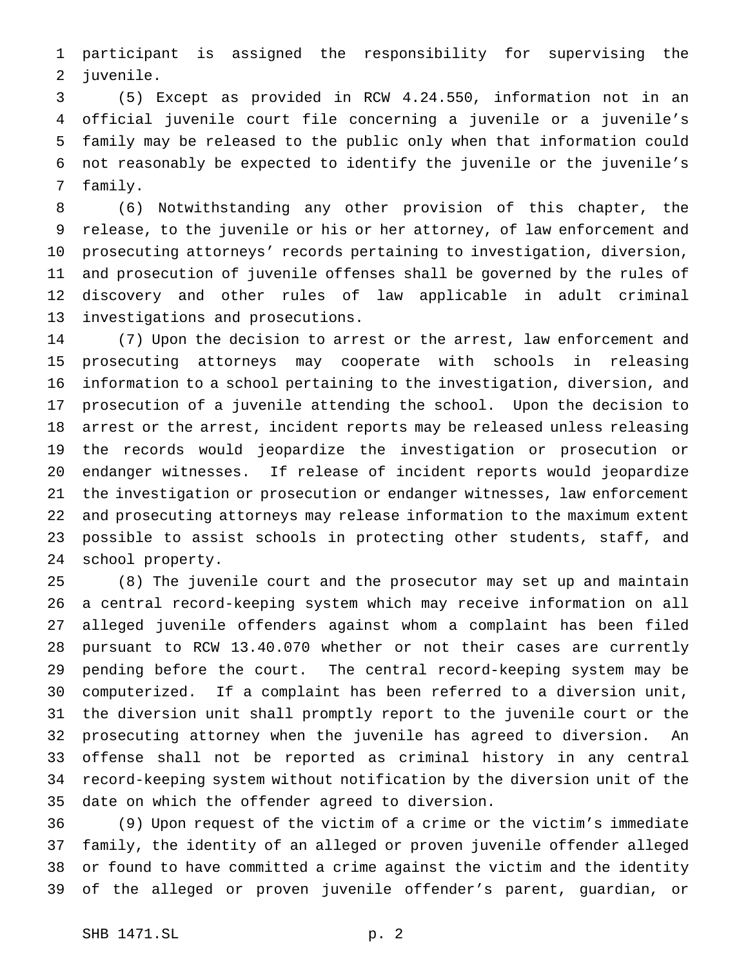participant is assigned the responsibility for supervising the juvenile.

 (5) Except as provided in RCW 4.24.550, information not in an official juvenile court file concerning a juvenile or a juvenile's family may be released to the public only when that information could not reasonably be expected to identify the juvenile or the juvenile's family.

 (6) Notwithstanding any other provision of this chapter, the release, to the juvenile or his or her attorney, of law enforcement and prosecuting attorneys' records pertaining to investigation, diversion, and prosecution of juvenile offenses shall be governed by the rules of discovery and other rules of law applicable in adult criminal investigations and prosecutions.

 (7) Upon the decision to arrest or the arrest, law enforcement and prosecuting attorneys may cooperate with schools in releasing information to a school pertaining to the investigation, diversion, and prosecution of a juvenile attending the school. Upon the decision to arrest or the arrest, incident reports may be released unless releasing the records would jeopardize the investigation or prosecution or endanger witnesses. If release of incident reports would jeopardize the investigation or prosecution or endanger witnesses, law enforcement and prosecuting attorneys may release information to the maximum extent possible to assist schools in protecting other students, staff, and school property.

 (8) The juvenile court and the prosecutor may set up and maintain a central record-keeping system which may receive information on all alleged juvenile offenders against whom a complaint has been filed pursuant to RCW 13.40.070 whether or not their cases are currently pending before the court. The central record-keeping system may be computerized. If a complaint has been referred to a diversion unit, the diversion unit shall promptly report to the juvenile court or the prosecuting attorney when the juvenile has agreed to diversion. An offense shall not be reported as criminal history in any central record-keeping system without notification by the diversion unit of the date on which the offender agreed to diversion.

 (9) Upon request of the victim of a crime or the victim's immediate family, the identity of an alleged or proven juvenile offender alleged or found to have committed a crime against the victim and the identity of the alleged or proven juvenile offender's parent, guardian, or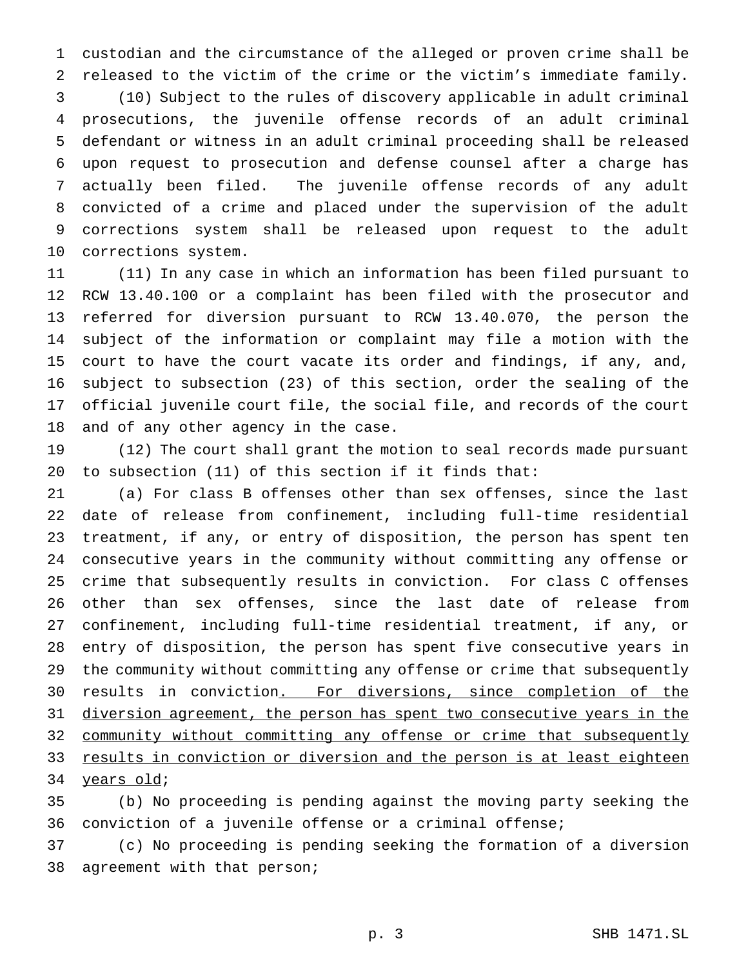custodian and the circumstance of the alleged or proven crime shall be released to the victim of the crime or the victim's immediate family.

 (10) Subject to the rules of discovery applicable in adult criminal prosecutions, the juvenile offense records of an adult criminal defendant or witness in an adult criminal proceeding shall be released upon request to prosecution and defense counsel after a charge has actually been filed. The juvenile offense records of any adult convicted of a crime and placed under the supervision of the adult corrections system shall be released upon request to the adult corrections system.

 (11) In any case in which an information has been filed pursuant to RCW 13.40.100 or a complaint has been filed with the prosecutor and referred for diversion pursuant to RCW 13.40.070, the person the subject of the information or complaint may file a motion with the court to have the court vacate its order and findings, if any, and, subject to subsection (23) of this section, order the sealing of the official juvenile court file, the social file, and records of the court and of any other agency in the case.

 (12) The court shall grant the motion to seal records made pursuant to subsection (11) of this section if it finds that:

 (a) For class B offenses other than sex offenses, since the last date of release from confinement, including full-time residential treatment, if any, or entry of disposition, the person has spent ten consecutive years in the community without committing any offense or crime that subsequently results in conviction. For class C offenses other than sex offenses, since the last date of release from confinement, including full-time residential treatment, if any, or entry of disposition, the person has spent five consecutive years in the community without committing any offense or crime that subsequently results in conviction. For diversions, since completion of the 31 diversion agreement, the person has spent two consecutive years in the 32 community without committing any offense or crime that subsequently 33 results in conviction or diversion and the person is at least eighteen 34 years old;

 (b) No proceeding is pending against the moving party seeking the conviction of a juvenile offense or a criminal offense;

 (c) No proceeding is pending seeking the formation of a diversion agreement with that person;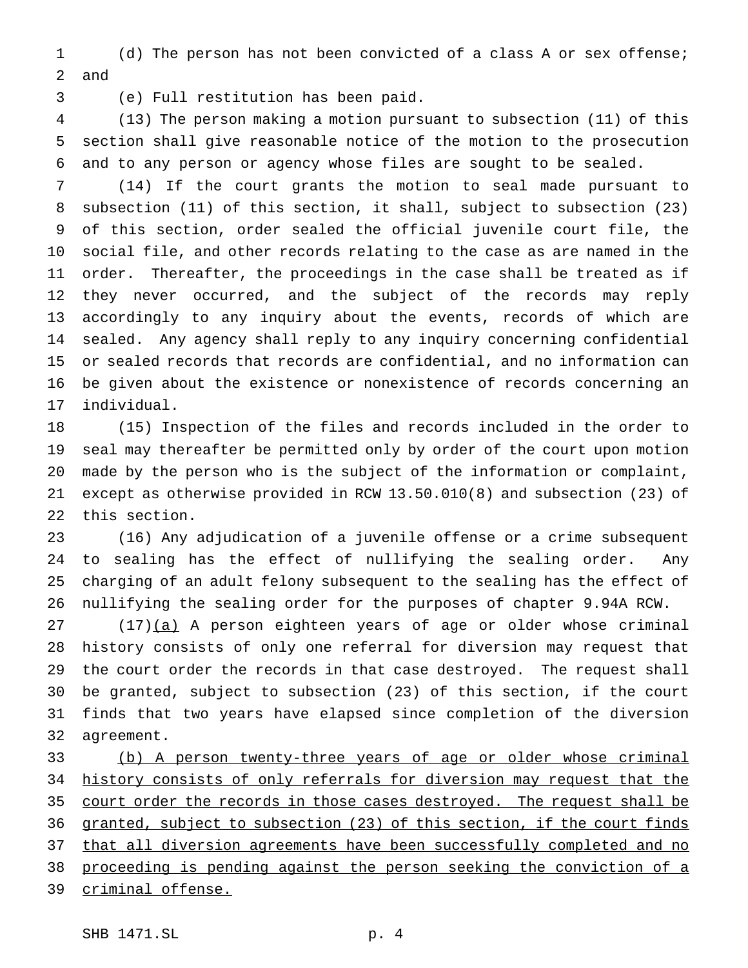(d) The person has not been convicted of a class A or sex offense; and

(e) Full restitution has been paid.

 (13) The person making a motion pursuant to subsection (11) of this section shall give reasonable notice of the motion to the prosecution and to any person or agency whose files are sought to be sealed.

 (14) If the court grants the motion to seal made pursuant to subsection (11) of this section, it shall, subject to subsection (23) of this section, order sealed the official juvenile court file, the social file, and other records relating to the case as are named in the order. Thereafter, the proceedings in the case shall be treated as if they never occurred, and the subject of the records may reply accordingly to any inquiry about the events, records of which are sealed. Any agency shall reply to any inquiry concerning confidential or sealed records that records are confidential, and no information can be given about the existence or nonexistence of records concerning an individual.

 (15) Inspection of the files and records included in the order to seal may thereafter be permitted only by order of the court upon motion made by the person who is the subject of the information or complaint, except as otherwise provided in RCW 13.50.010(8) and subsection (23) of this section.

 (16) Any adjudication of a juvenile offense or a crime subsequent to sealing has the effect of nullifying the sealing order. Any charging of an adult felony subsequent to the sealing has the effect of nullifying the sealing order for the purposes of chapter 9.94A RCW.

27 (17)(a) A person eighteen years of age or older whose criminal history consists of only one referral for diversion may request that the court order the records in that case destroyed. The request shall be granted, subject to subsection (23) of this section, if the court finds that two years have elapsed since completion of the diversion agreement.

 (b) A person twenty-three years of age or older whose criminal history consists of only referrals for diversion may request that the 35 court order the records in those cases destroyed. The request shall be granted, subject to subsection (23) of this section, if the court finds 37 that all diversion agreements have been successfully completed and no proceeding is pending against the person seeking the conviction of a criminal offense.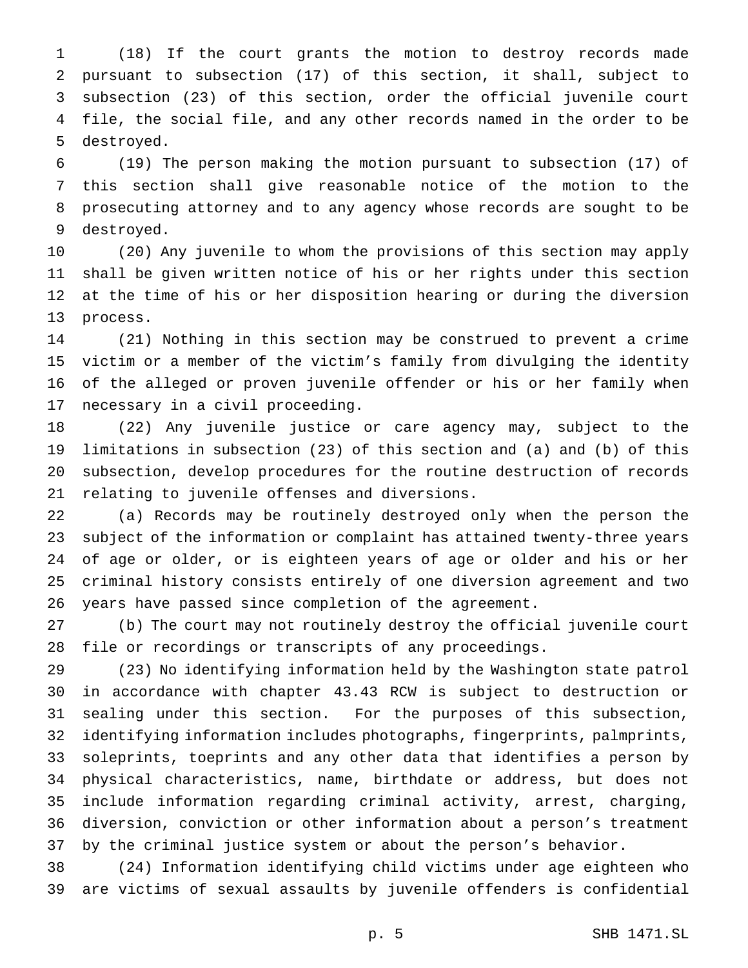(18) If the court grants the motion to destroy records made pursuant to subsection (17) of this section, it shall, subject to subsection (23) of this section, order the official juvenile court file, the social file, and any other records named in the order to be destroyed.

 (19) The person making the motion pursuant to subsection (17) of this section shall give reasonable notice of the motion to the prosecuting attorney and to any agency whose records are sought to be destroyed.

 (20) Any juvenile to whom the provisions of this section may apply shall be given written notice of his or her rights under this section at the time of his or her disposition hearing or during the diversion process.

 (21) Nothing in this section may be construed to prevent a crime victim or a member of the victim's family from divulging the identity of the alleged or proven juvenile offender or his or her family when necessary in a civil proceeding.

 (22) Any juvenile justice or care agency may, subject to the limitations in subsection (23) of this section and (a) and (b) of this subsection, develop procedures for the routine destruction of records relating to juvenile offenses and diversions.

 (a) Records may be routinely destroyed only when the person the subject of the information or complaint has attained twenty-three years of age or older, or is eighteen years of age or older and his or her criminal history consists entirely of one diversion agreement and two years have passed since completion of the agreement.

 (b) The court may not routinely destroy the official juvenile court file or recordings or transcripts of any proceedings.

 (23) No identifying information held by the Washington state patrol in accordance with chapter 43.43 RCW is subject to destruction or sealing under this section. For the purposes of this subsection, identifying information includes photographs, fingerprints, palmprints, soleprints, toeprints and any other data that identifies a person by physical characteristics, name, birthdate or address, but does not include information regarding criminal activity, arrest, charging, diversion, conviction or other information about a person's treatment by the criminal justice system or about the person's behavior.

 (24) Information identifying child victims under age eighteen who are victims of sexual assaults by juvenile offenders is confidential

p. 5 SHB 1471.SL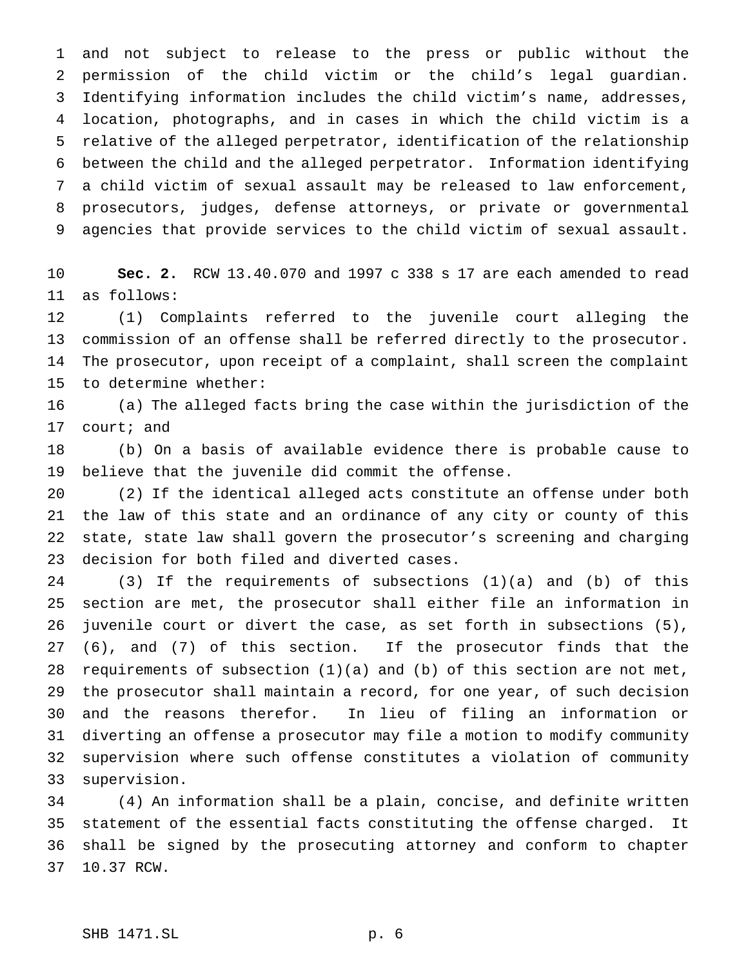and not subject to release to the press or public without the permission of the child victim or the child's legal guardian. Identifying information includes the child victim's name, addresses, location, photographs, and in cases in which the child victim is a relative of the alleged perpetrator, identification of the relationship between the child and the alleged perpetrator. Information identifying a child victim of sexual assault may be released to law enforcement, prosecutors, judges, defense attorneys, or private or governmental agencies that provide services to the child victim of sexual assault.

 **Sec. 2.** RCW 13.40.070 and 1997 c 338 s 17 are each amended to read as follows:

 (1) Complaints referred to the juvenile court alleging the commission of an offense shall be referred directly to the prosecutor. The prosecutor, upon receipt of a complaint, shall screen the complaint to determine whether:

 (a) The alleged facts bring the case within the jurisdiction of the court; and

 (b) On a basis of available evidence there is probable cause to believe that the juvenile did commit the offense.

 (2) If the identical alleged acts constitute an offense under both the law of this state and an ordinance of any city or county of this state, state law shall govern the prosecutor's screening and charging decision for both filed and diverted cases.

 (3) If the requirements of subsections (1)(a) and (b) of this section are met, the prosecutor shall either file an information in juvenile court or divert the case, as set forth in subsections (5), (6), and (7) of this section. If the prosecutor finds that the requirements of subsection (1)(a) and (b) of this section are not met, the prosecutor shall maintain a record, for one year, of such decision and the reasons therefor. In lieu of filing an information or diverting an offense a prosecutor may file a motion to modify community supervision where such offense constitutes a violation of community supervision.

 (4) An information shall be a plain, concise, and definite written statement of the essential facts constituting the offense charged. It shall be signed by the prosecuting attorney and conform to chapter 10.37 RCW.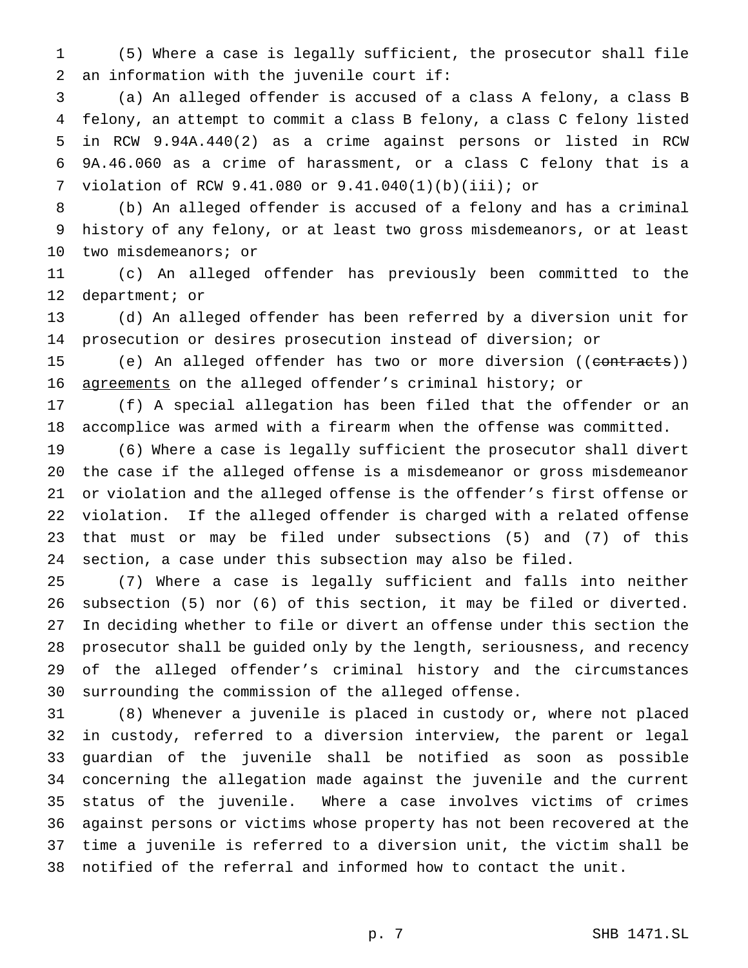(5) Where a case is legally sufficient, the prosecutor shall file an information with the juvenile court if:

 (a) An alleged offender is accused of a class A felony, a class B felony, an attempt to commit a class B felony, a class C felony listed in RCW 9.94A.440(2) as a crime against persons or listed in RCW 9A.46.060 as a crime of harassment, or a class C felony that is a violation of RCW 9.41.080 or 9.41.040(1)(b)(iii); or

 (b) An alleged offender is accused of a felony and has a criminal history of any felony, or at least two gross misdemeanors, or at least two misdemeanors; or

 (c) An alleged offender has previously been committed to the department; or

 (d) An alleged offender has been referred by a diversion unit for prosecution or desires prosecution instead of diversion; or

15 (e) An alleged offender has two or more diversion ((contracts)) agreements on the alleged offender's criminal history; or

 (f) A special allegation has been filed that the offender or an accomplice was armed with a firearm when the offense was committed.

 (6) Where a case is legally sufficient the prosecutor shall divert the case if the alleged offense is a misdemeanor or gross misdemeanor or violation and the alleged offense is the offender's first offense or violation. If the alleged offender is charged with a related offense that must or may be filed under subsections (5) and (7) of this section, a case under this subsection may also be filed.

 (7) Where a case is legally sufficient and falls into neither subsection (5) nor (6) of this section, it may be filed or diverted. In deciding whether to file or divert an offense under this section the prosecutor shall be guided only by the length, seriousness, and recency of the alleged offender's criminal history and the circumstances surrounding the commission of the alleged offense.

 (8) Whenever a juvenile is placed in custody or, where not placed in custody, referred to a diversion interview, the parent or legal guardian of the juvenile shall be notified as soon as possible concerning the allegation made against the juvenile and the current status of the juvenile. Where a case involves victims of crimes against persons or victims whose property has not been recovered at the time a juvenile is referred to a diversion unit, the victim shall be notified of the referral and informed how to contact the unit.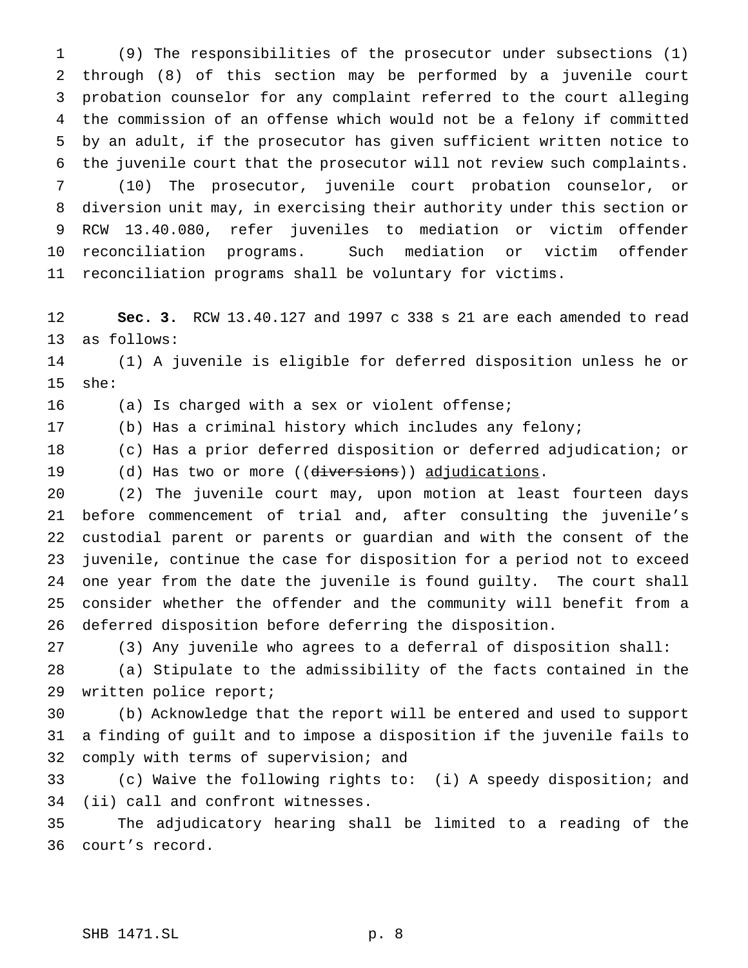(9) The responsibilities of the prosecutor under subsections (1) through (8) of this section may be performed by a juvenile court probation counselor for any complaint referred to the court alleging the commission of an offense which would not be a felony if committed by an adult, if the prosecutor has given sufficient written notice to the juvenile court that the prosecutor will not review such complaints. (10) The prosecutor, juvenile court probation counselor, or diversion unit may, in exercising their authority under this section or RCW 13.40.080, refer juveniles to mediation or victim offender reconciliation programs. Such mediation or victim offender reconciliation programs shall be voluntary for victims.

 **Sec. 3.** RCW 13.40.127 and 1997 c 338 s 21 are each amended to read as follows:

 (1) A juvenile is eligible for deferred disposition unless he or she:

(a) Is charged with a sex or violent offense;

(b) Has a criminal history which includes any felony;

(c) Has a prior deferred disposition or deferred adjudication; or

19 (d) Has two or more ((diversions)) adjudications.

 (2) The juvenile court may, upon motion at least fourteen days before commencement of trial and, after consulting the juvenile's custodial parent or parents or guardian and with the consent of the juvenile, continue the case for disposition for a period not to exceed one year from the date the juvenile is found guilty. The court shall consider whether the offender and the community will benefit from a deferred disposition before deferring the disposition.

(3) Any juvenile who agrees to a deferral of disposition shall:

 (a) Stipulate to the admissibility of the facts contained in the written police report;

 (b) Acknowledge that the report will be entered and used to support a finding of guilt and to impose a disposition if the juvenile fails to comply with terms of supervision; and

 (c) Waive the following rights to: (i) A speedy disposition; and (ii) call and confront witnesses.

 The adjudicatory hearing shall be limited to a reading of the court's record.